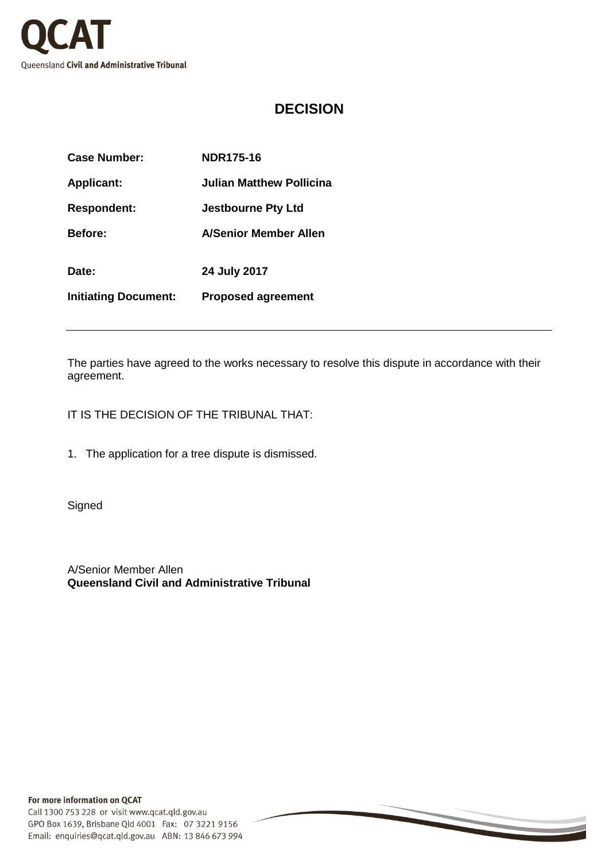

## **DECISION**

| Case Number:                | <b>NDR175-16</b>             |
|-----------------------------|------------------------------|
| <b>Applicant:</b>           | Julian Matthew Pollicina     |
| <b>Respondent:</b>          | <b>Jestbourne Pty Ltd</b>    |
| <b>Before:</b>              | <b>A/Senior Member Allen</b> |
| Date:                       | 24 July 2017                 |
| <b>Initiating Document:</b> | <b>Proposed agreement</b>    |

The parties have agreed to the works necessary to resolve this dispute in accordance with their agreement.

IT IS THE DECISION OF THE TRIBUNAL THAT:

1. The application for a tree dispute is dismissed.

**Signed** 

A/Senior Member Allen **Queensland Civil and Administrative Tribunal**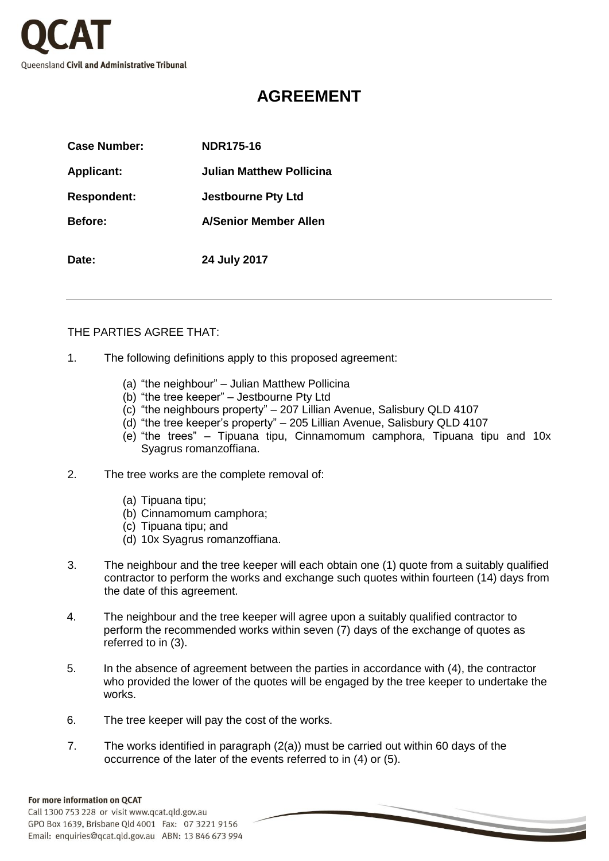

## **AGREEMENT**

| Case Number:       | <b>NDR175-16</b>          |
|--------------------|---------------------------|
| <b>Applicant:</b>  | Julian Matthew Pollicina  |
| <b>Respondent:</b> | <b>Jestbourne Pty Ltd</b> |
| <b>Before:</b>     | A/Senior Member Allen     |
| Date:              | 24 July 2017              |

## THE PARTIES AGREE THAT:

- 1. The following definitions apply to this proposed agreement:
	- (a) "the neighbour" Julian Matthew Pollicina
	- (b) "the tree keeper" Jestbourne Pty Ltd
	- (c) "the neighbours property" 207 Lillian Avenue, Salisbury QLD 4107
	- (d) "the tree keeper's property" 205 Lillian Avenue, Salisbury QLD 4107
	- (e) "the trees" Tipuana tipu, Cinnamomum camphora, Tipuana tipu and 10x Syagrus romanzoffiana.
- 2. The tree works are the complete removal of:
	- (a) Tipuana tipu;
	- (b) Cinnamomum camphora;
	- (c) Tipuana tipu; and
	- (d) 10x Syagrus romanzoffiana.
- 3. The neighbour and the tree keeper will each obtain one (1) quote from a suitably qualified contractor to perform the works and exchange such quotes within fourteen (14) days from the date of this agreement.
- 4. The neighbour and the tree keeper will agree upon a suitably qualified contractor to perform the recommended works within seven (7) days of the exchange of quotes as referred to in (3).
- 5. In the absence of agreement between the parties in accordance with (4), the contractor who provided the lower of the quotes will be engaged by the tree keeper to undertake the works.
- 6. The tree keeper will pay the cost of the works.
- 7. The works identified in paragraph (2(a)) must be carried out within 60 days of the occurrence of the later of the events referred to in (4) or (5).

## For more information on QCAT